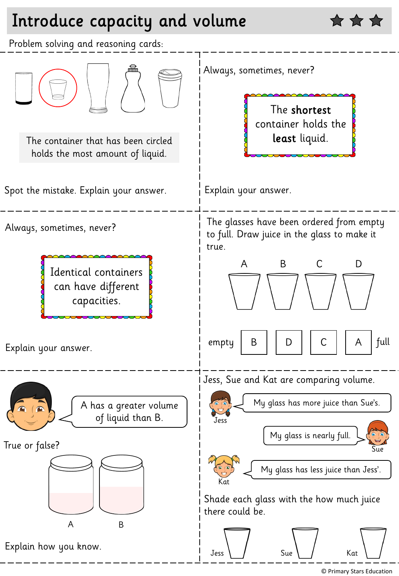## Introduce capacity and volume



<sup>©</sup> Primary Stars Education

☆☆☆